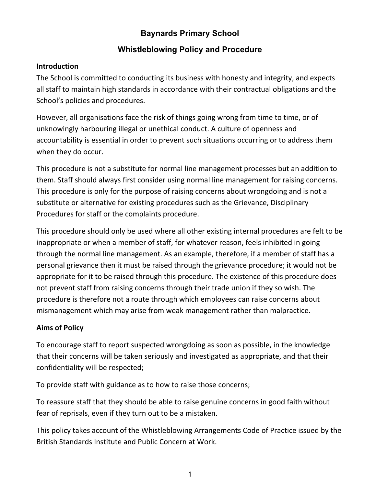# **Baynards Primary School**

## **Whistleblowing Policy and Procedure**

### **Introduction**

The School is committed to conducting its business with honesty and integrity, and expects all staff to maintain high standards in accordance with their contractual obligations and the School's policies and procedures.

However, all organisations face the risk of things going wrong from time to time, or of unknowingly harbouring illegal or unethical conduct. A culture of openness and accountability is essential in order to prevent such situations occurring or to address them when they do occur.

This procedure is not a substitute for normal line management processes but an addition to them. Staff should always first consider using normal line management for raising concerns. This procedure is only for the purpose of raising concerns about wrongdoing and is not a substitute or alternative for existing procedures such as the Grievance, Disciplinary Procedures for staff or the complaints procedure.

This procedure should only be used where all other existing internal procedures are felt to be inappropriate or when a member of staff, for whatever reason, feels inhibited in going through the normal line management. As an example, therefore, if a member of staff has a personal grievance then it must be raised through the grievance procedure; it would not be appropriate for it to be raised through this procedure. The existence of this procedure does not prevent staff from raising concerns through their trade union if they so wish. The procedure is therefore not a route through which employees can raise concerns about mismanagement which may arise from weak management rather than malpractice.

## **Aims of Policy**

To encourage staff to report suspected wrongdoing as soon as possible, in the knowledge that their concerns will be taken seriously and investigated as appropriate, and that their confidentiality will be respected;

To provide staff with guidance as to how to raise those concerns;

To reassure staff that they should be able to raise genuine concerns in good faith without fear of reprisals, even if they turn out to be a mistaken.

This policy takes account of the Whistleblowing Arrangements Code of Practice issued by the British Standards Institute and Public Concern at Work.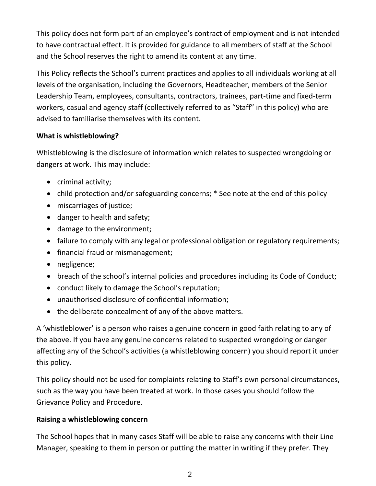This policy does not form part of an employee's contract of employment and is not intended to have contractual effect. It is provided for guidance to all members of staff at the School and the School reserves the right to amend its content at any time.

This Policy reflects the School's current practices and applies to all individuals working at all levels of the organisation, including the Governors, Headteacher, members of the Senior Leadership Team, employees, consultants, contractors, trainees, part‐time and fixed‐term workers, casual and agency staff (collectively referred to as "Staff" in this policy) who are advised to familiarise themselves with its content.

## **What is whistleblowing?**

Whistleblowing is the disclosure of information which relates to suspected wrongdoing or dangers at work. This may include:

- criminal activity;
- child protection and/or safeguarding concerns; \* See note at the end of this policy
- miscarriages of justice;
- danger to health and safety;
- damage to the environment;
- failure to comply with any legal or professional obligation or regulatory requirements;
- financial fraud or mismanagement;
- negligence;
- breach of the school's internal policies and procedures including its Code of Conduct;
- conduct likely to damage the School's reputation;
- unauthorised disclosure of confidential information;
- the deliberate concealment of any of the above matters.

A 'whistleblower' is a person who raises a genuine concern in good faith relating to any of the above. If you have any genuine concerns related to suspected wrongdoing or danger affecting any of the School's activities (a whistleblowing concern) you should report it under this policy.

This policy should not be used for complaints relating to Staff's own personal circumstances, such as the way you have been treated at work. In those cases you should follow the Grievance Policy and Procedure.

## **Raising a whistleblowing concern**

The School hopes that in many cases Staff will be able to raise any concerns with their Line Manager, speaking to them in person or putting the matter in writing if they prefer. They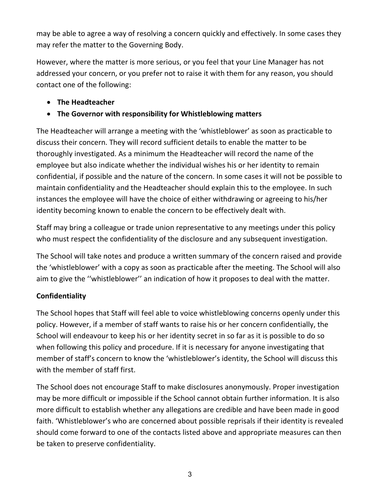may be able to agree a way of resolving a concern quickly and effectively. In some cases they may refer the matter to the Governing Body.

However, where the matter is more serious, or you feel that your Line Manager has not addressed your concern, or you prefer not to raise it with them for any reason, you should contact one of the following:

## **The Headteacher**

## **The Governor with responsibility for Whistleblowing matters**

The Headteacher will arrange a meeting with the 'whistleblower' as soon as practicable to discuss their concern. They will record sufficient details to enable the matter to be thoroughly investigated. As a minimum the Headteacher will record the name of the employee but also indicate whether the individual wishes his or her identity to remain confidential, if possible and the nature of the concern. In some cases it will not be possible to maintain confidentiality and the Headteacher should explain this to the employee. In such instances the employee will have the choice of either withdrawing or agreeing to his/her identity becoming known to enable the concern to be effectively dealt with.

Staff may bring a colleague or trade union representative to any meetings under this policy who must respect the confidentiality of the disclosure and any subsequent investigation.

The School will take notes and produce a written summary of the concern raised and provide the 'whistleblower' with a copy as soon as practicable after the meeting. The School will also aim to give the ''whistleblower'' an indication of how it proposes to deal with the matter.

## **Confidentiality**

The School hopes that Staff will feel able to voice whistleblowing concerns openly under this policy. However, if a member of staff wants to raise his or her concern confidentially, the School will endeavour to keep his or her identity secret in so far as it is possible to do so when following this policy and procedure. If it is necessary for anyone investigating that member of staff's concern to know the 'whistleblower's identity, the School will discuss this with the member of staff first.

The School does not encourage Staff to make disclosures anonymously. Proper investigation may be more difficult or impossible if the School cannot obtain further information. It is also more difficult to establish whether any allegations are credible and have been made in good faith. 'Whistleblower's who are concerned about possible reprisals if their identity is revealed should come forward to one of the contacts listed above and appropriate measures can then be taken to preserve confidentiality.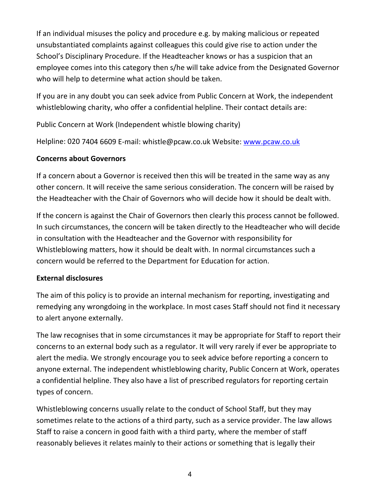If an individual misuses the policy and procedure e.g. by making malicious or repeated unsubstantiated complaints against colleagues this could give rise to action under the School's Disciplinary Procedure. If the Headteacher knows or has a suspicion that an employee comes into this category then s/he will take advice from the Designated Governor who will help to determine what action should be taken.

If you are in any doubt you can seek advice from Public Concern at Work, the independent whistleblowing charity, who offer a confidential helpline. Their contact details are:

Public Concern at Work (Independent whistle blowing charity)

Helpline: 020 7404 6609 E-mail: whistle@pcaw.co.uk Website: www.pcaw.co.uk

## **Concerns about Governors**

If a concern about a Governor is received then this will be treated in the same way as any other concern. It will receive the same serious consideration. The concern will be raised by the Headteacher with the Chair of Governors who will decide how it should be dealt with.

If the concern is against the Chair of Governors then clearly this process cannot be followed. In such circumstances, the concern will be taken directly to the Headteacher who will decide in consultation with the Headteacher and the Governor with responsibility for Whistleblowing matters, how it should be dealt with. In normal circumstances such a concern would be referred to the Department for Education for action.

## **External disclosures**

The aim of this policy is to provide an internal mechanism for reporting, investigating and remedying any wrongdoing in the workplace. In most cases Staff should not find it necessary to alert anyone externally.

The law recognises that in some circumstances it may be appropriate for Staff to report their concerns to an external body such as a regulator. It will very rarely if ever be appropriate to alert the media. We strongly encourage you to seek advice before reporting a concern to anyone external. The independent whistleblowing charity, Public Concern at Work, operates a confidential helpline. They also have a list of prescribed regulators for reporting certain types of concern.

Whistleblowing concerns usually relate to the conduct of School Staff, but they may sometimes relate to the actions of a third party, such as a service provider. The law allows Staff to raise a concern in good faith with a third party, where the member of staff reasonably believes it relates mainly to their actions or something that is legally their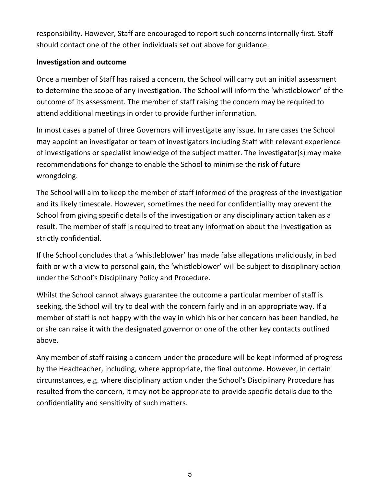responsibility. However, Staff are encouraged to report such concerns internally first. Staff should contact one of the other individuals set out above for guidance.

### **Investigation and outcome**

Once a member of Staff has raised a concern, the School will carry out an initial assessment to determine the scope of any investigation. The School will inform the 'whistleblower' of the outcome of its assessment. The member of staff raising the concern may be required to attend additional meetings in order to provide further information.

In most cases a panel of three Governors will investigate any issue. In rare cases the School may appoint an investigator or team of investigators including Staff with relevant experience of investigations or specialist knowledge of the subject matter. The investigator(s) may make recommendations for change to enable the School to minimise the risk of future wrongdoing.

The School will aim to keep the member of staff informed of the progress of the investigation and its likely timescale. However, sometimes the need for confidentiality may prevent the School from giving specific details of the investigation or any disciplinary action taken as a result. The member of staff is required to treat any information about the investigation as strictly confidential.

If the School concludes that a 'whistleblower' has made false allegations maliciously, in bad faith or with a view to personal gain, the 'whistleblower' will be subject to disciplinary action under the School's Disciplinary Policy and Procedure.

Whilst the School cannot always guarantee the outcome a particular member of staff is seeking, the School will try to deal with the concern fairly and in an appropriate way. If a member of staff is not happy with the way in which his or her concern has been handled, he or she can raise it with the designated governor or one of the other key contacts outlined above.

Any member of staff raising a concern under the procedure will be kept informed of progress by the Headteacher, including, where appropriate, the final outcome. However, in certain circumstances, e.g. where disciplinary action under the School's Disciplinary Procedure has resulted from the concern, it may not be appropriate to provide specific details due to the confidentiality and sensitivity of such matters.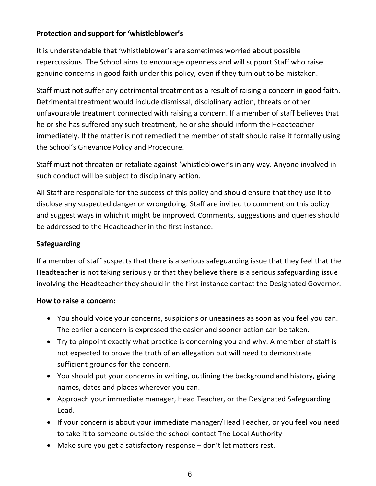## **Protection and support for 'whistleblower's**

It is understandable that 'whistleblower's are sometimes worried about possible repercussions. The School aims to encourage openness and will support Staff who raise genuine concerns in good faith under this policy, even if they turn out to be mistaken.

Staff must not suffer any detrimental treatment as a result of raising a concern in good faith. Detrimental treatment would include dismissal, disciplinary action, threats or other unfavourable treatment connected with raising a concern. If a member of staff believes that he or she has suffered any such treatment, he or she should inform the Headteacher immediately. If the matter is not remedied the member of staff should raise it formally using the School's Grievance Policy and Procedure.

Staff must not threaten or retaliate against 'whistleblower's in any way. Anyone involved in such conduct will be subject to disciplinary action.

All Staff are responsible for the success of this policy and should ensure that they use it to disclose any suspected danger or wrongdoing. Staff are invited to comment on this policy and suggest ways in which it might be improved. Comments, suggestions and queries should be addressed to the Headteacher in the first instance.

## **Safeguarding**

If a member of staff suspects that there is a serious safeguarding issue that they feel that the Headteacher is not taking seriously or that they believe there is a serious safeguarding issue involving the Headteacher they should in the first instance contact the Designated Governor.

## **How to raise a concern:**

- You should voice your concerns, suspicions or uneasiness as soon as you feel you can. The earlier a concern is expressed the easier and sooner action can be taken.
- Try to pinpoint exactly what practice is concerning you and why. A member of staff is not expected to prove the truth of an allegation but will need to demonstrate sufficient grounds for the concern.
- You should put your concerns in writing, outlining the background and history, giving names, dates and places wherever you can.
- Approach your immediate manager, Head Teacher, or the Designated Safeguarding Lead.
- If your concern is about your immediate manager/Head Teacher, or you feel you need to take it to someone outside the school contact The Local Authority
- Make sure you get a satisfactory response don't let matters rest.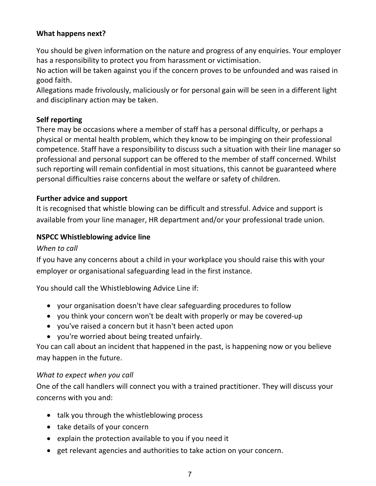### **What happens next?**

You should be given information on the nature and progress of any enquiries. Your employer has a responsibility to protect you from harassment or victimisation.

No action will be taken against you if the concern proves to be unfounded and was raised in good faith.

Allegations made frivolously, maliciously or for personal gain will be seen in a different light and disciplinary action may be taken.

### **Self reporting**

There may be occasions where a member of staff has a personal difficulty, or perhaps a physical or mental health problem, which they know to be impinging on their professional competence. Staff have a responsibility to discuss such a situation with their line manager so professional and personal support can be offered to the member of staff concerned. Whilst such reporting will remain confidential in most situations, this cannot be guaranteed where personal difficulties raise concerns about the welfare or safety of children.

### **Further advice and support**

It is recognised that whistle blowing can be difficult and stressful. Advice and support is available from your line manager, HR department and/or your professional trade union.

#### **NSPCC Whistleblowing advice line**

#### *When to call*

If you have any concerns about a child in your workplace you should raise this with your employer or organisational safeguarding lead in the first instance.

You should call the Whistleblowing Advice Line if:

- your organisation doesn't have clear safeguarding procedures to follow
- you think your concern won't be dealt with properly or may be covered‐up
- you've raised a concern but it hasn't been acted upon
- you're worried about being treated unfairly.

You can call about an incident that happened in the past, is happening now or you believe may happen in the future.

#### *What to expect when you call*

One of the call handlers will connect you with a trained practitioner. They will discuss your concerns with you and:

- talk you through the whistleblowing process
- take details of your concern
- explain the protection available to you if you need it
- get relevant agencies and authorities to take action on your concern.